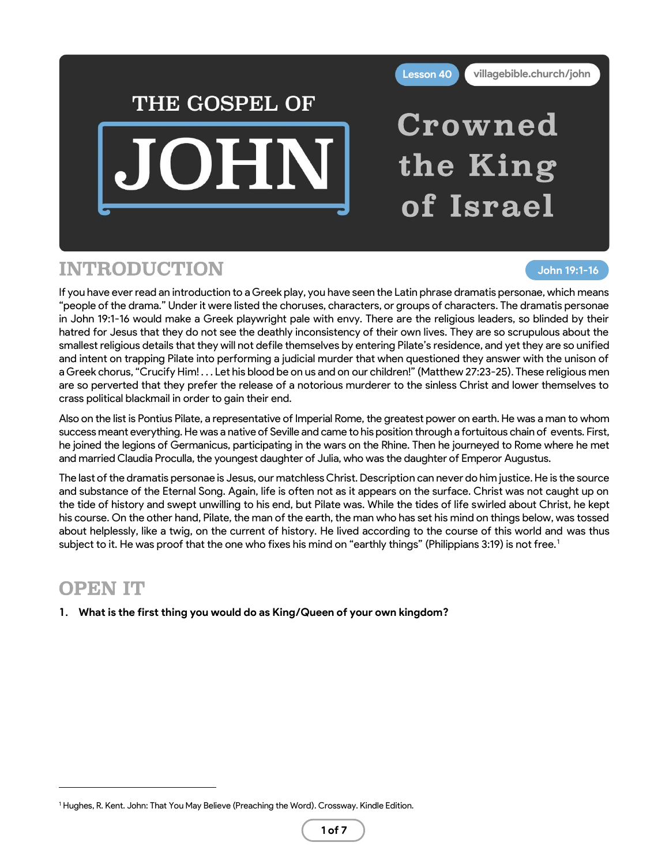

### INTRODUCTION

#### **John 19:1-16**

If you have ever read an introduction to a Greek play, you have seen the Latin phrase dramatis personae, which means "people of the drama." Under it were listed the choruses, characters, or groups of characters. The dramatis personae in John 19:1-16 would make a Greek playwright pale with envy. There are the religious leaders, so blinded by their hatred for Jesus that they do not see the deathly inconsistency of their own lives. They are so scrupulous about the smallest religious details that they will not defile themselves by entering Pilate's residence, and yet they are so unified and intent on trapping Pilate into performing a judicial murder that when questioned they answer with the unison of a Greek chorus, "Crucify Him! . . . Let his blood be on us and on our children!" (Matthew 27:23-25). These religious men are so perverted that they prefer the release of a notorious murderer to the sinless Christ and lower themselves to crass political blackmail in order to gain their end.

Also on the list is Pontius Pilate, a representative of Imperial Rome, the greatest power on earth. He was a man to whom success meant everything. He was a native of Seville and came to his position through a fortuitous chain of events. First, he joined the legions of Germanicus, participating in the wars on the Rhine. Then he journeyed to Rome where he met and married Claudia Proculla, the youngest daughter of Julia, who was the daughter of Emperor Augustus.

The last of the dramatis personae is Jesus, our matchless Christ. Description can never do him justice. He is the source and substance of the Eternal Song. Again, life is often not as it appears on the surface. Christ was not caught up on the tide of history and swept unwilling to his end, but Pilate was. While the tides of life swirled about Christ, he kept his course. On the other hand, Pilate, the man of the earth, the man who has set his mind on things below, was tossed about helplessly, like a twig, on the current of history. He lived according to the course of this world and was thus subject to it. He was proof that the one who fixes his mind on "earthly things" (Philippians 3:19) is not free.<sup>1</sup>

# OPEN IT

**1. What is the first thing you would do as King/Queen of your own kingdom?**

<sup>&</sup>lt;sup>1</sup> Hughes, R. Kent. John: That You May Believe (Preaching the Word). Crossway. Kindle Edition.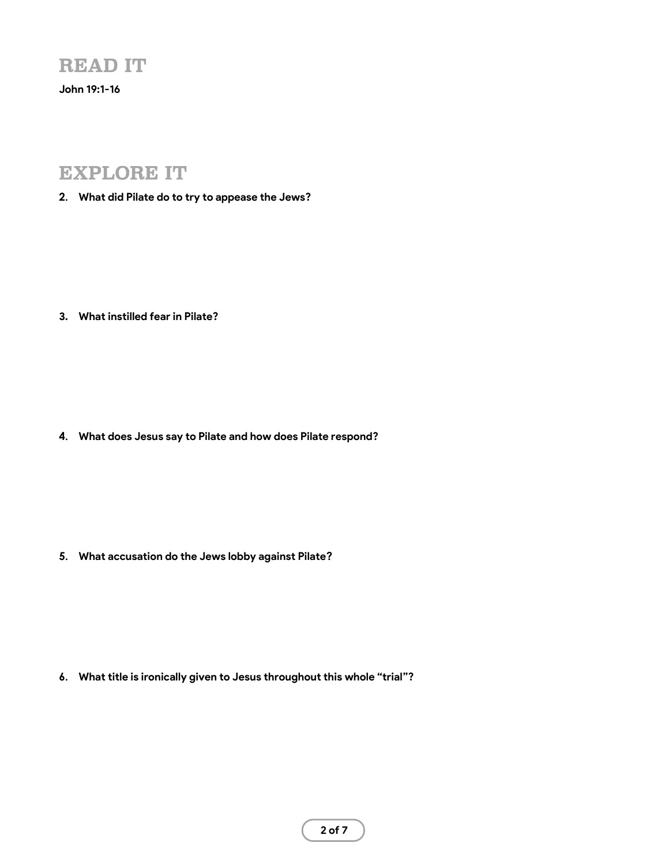#### READ IT

**John 19:1-16**

### EXPLORE IT

**2. What did Pilate do to try to appease the Jews?**

**3. What instilled fear in Pilate?**

**4. What does Jesus say to Pilate and how does Pilate respond?**

**5. What accusation do the Jews lobby against Pilate?**

**6. What title is ironically given to Jesus throughout this whole "trial"?**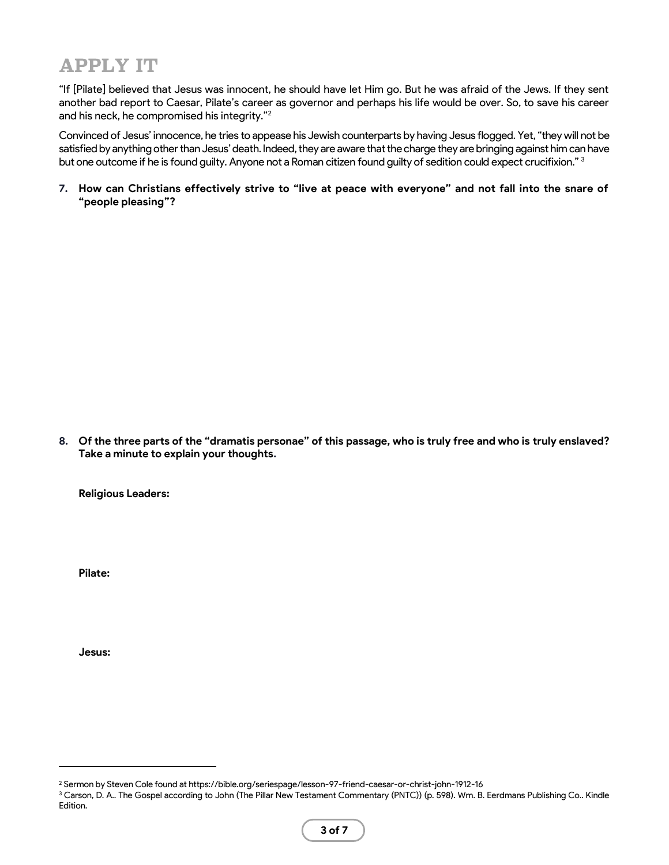## APPLY IT

"If [Pilate] believed that Jesus was innocent, he should have let Him go. But he was afraid of the Jews. If they sent another bad report to Caesar, Pilate's career as governor and perhaps his life would be over. So, to save his career and his neck, he compromised his integrity."<sup>2</sup>

Convinced of Jesus' innocence, he tries to appease his Jewish counterparts by having Jesus flogged. Yet, "they will not be satisfied by anything other than Jesus' death. Indeed, they are aware that the charge they are bringing against him can have but one outcome if he is found guilty. Anyone not a Roman citizen found guilty of sedition could expect crucifixion." 3

**7. How can Christians effectively strive to "live at peace with everyone" and not fall into the snare of "people pleasing"?**

**8. Of the three parts of the "dramatis personae" of this passage, who is truly free and who is truly enslaved? Take a minute to explain your thoughts.**

**Religious Leaders:**

**Pilate:**

**Jesus:**

<sup>2</sup> Sermon by Steven Cole found at https://bible.org/seriespage/lesson-97-friend-caesar-or-christ-john-1912-16

<sup>&</sup>lt;sup>3</sup> Carson, D. A.. The Gospel according to John (The Pillar New Testament Commentary (PNTC)) (p. 598). Wm. B. Eerdmans Publishing Co.. Kindle Edition.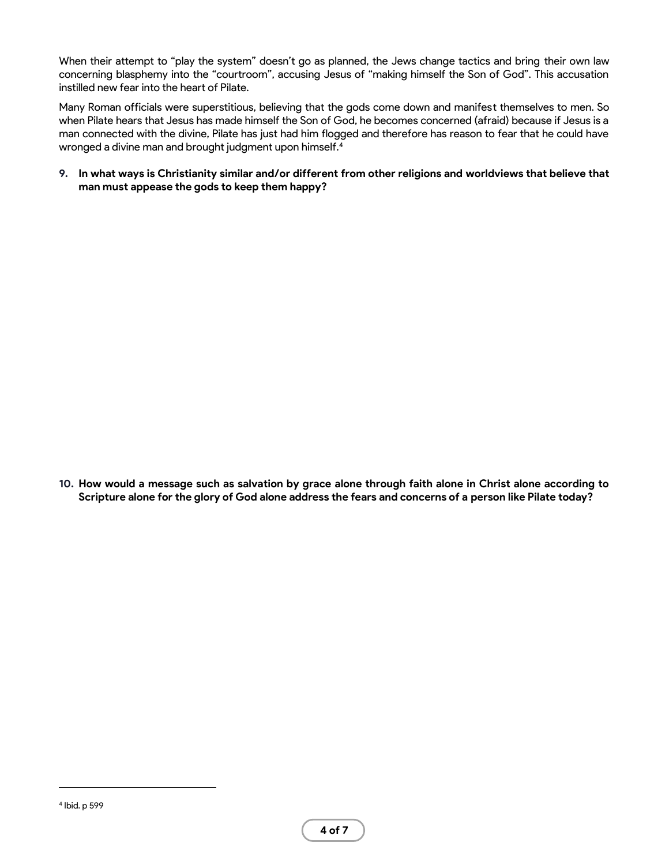When their attempt to "play the system" doesn't go as planned, the Jews change tactics and bring their own law concerning blasphemy into the "courtroom", accusing Jesus of "making himself the Son of God". This accusation instilled new fear into the heart of Pilate.

Many Roman officials were superstitious, believing that the gods come down and manifest themselves to men. So when Pilate hears that Jesus has made himself the Son of God, he becomes concerned (afraid) because if Jesus is a man connected with the divine, Pilate has just had him flogged and therefore has reason to fear that he could have wronged a divine man and brought judgment upon himself.<sup>4</sup>

**9. In what ways is Christianity similar and/or different from other religions and worldviews that believe that man must appease the gods to keep them happy?**

**10. How would a message such as salvation by grace alone through faith alone in Christ alone according to Scripture alone for the glory of God alone address the fears and concerns of a person like Pilate today?**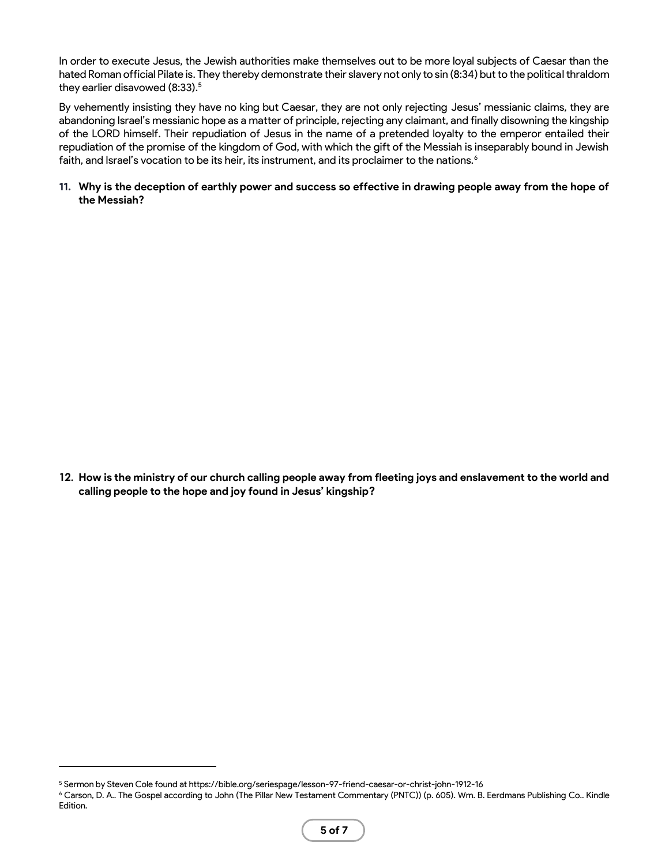In order to execute Jesus, the Jewish authorities make themselves out to be more loyal subjects of Caesar than the hated Roman official Pilate is. They thereby demonstrate their slavery not only to sin (8:34) but to the political thraldom they earlier disavowed (8:33).<sup>5</sup>

By vehemently insisting they have no king but Caesar, they are not only rejecting Jesus' messianic claims, they are abandoning Israel's messianic hope as a matter of principle, rejecting any claimant, and finally disowning the kingship of the LORD himself. Their repudiation of Jesus in the name of a pretended loyalty to the emperor entailed their repudiation of the promise of the kingdom of God, with which the gift of the Messiah is inseparably bound in Jewish faith, and Israel's vocation to be its heir, its instrument, and its proclaimer to the nations.<sup>6</sup>

**11. Why is the deception of earthly power and success so effective in drawing people away from the hope of the Messiah?**

**calling people to the hope and joy found in Jesus' kingship?**

**12. How is the ministry of our church calling people away from fleeting joys and enslavement to the world and** 

<sup>5</sup> Sermon by Steven Cole found at https://bible.org/seriespage/lesson-97-friend-caesar-or-christ-john-1912-16

<sup>6</sup> Carson, D. A.. The Gospel according to John (The Pillar New Testament Commentary (PNTC)) (p. 605). Wm. B. Eerdmans Publishing Co.. Kindle Edition.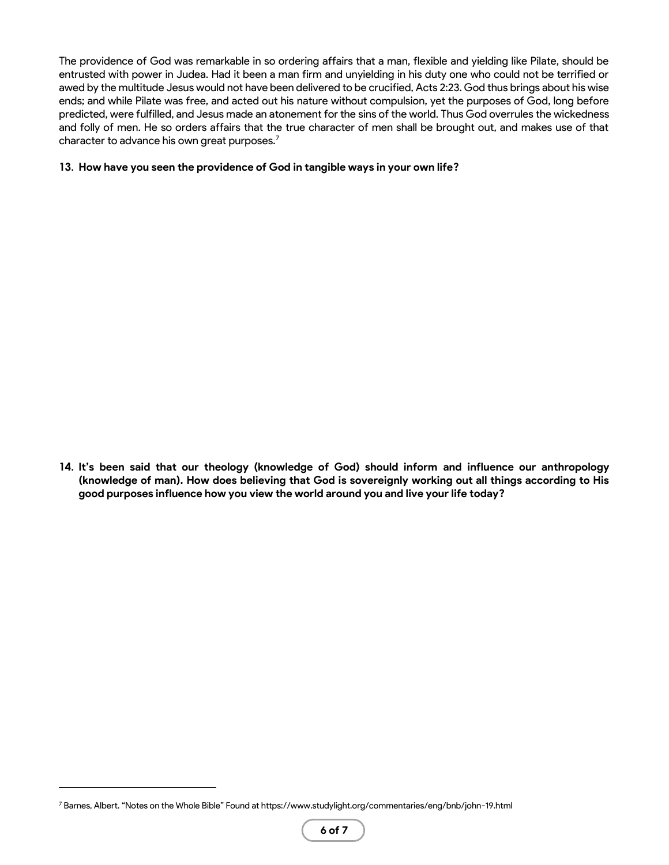The providence of God was remarkable in so ordering affairs that a man, flexible and yielding like Pilate, should be entrusted with power in Judea. Had it been a man firm and unyielding in his duty one who could not be terrified or awed by the multitude Jesus would not have been delivered to be crucified, Acts 2:23. God thus brings about his wise ends; and while Pilate was free, and acted out his nature without compulsion, yet the purposes of God, long before predicted, were fulfilled, and Jesus made an atonement for the sins of the world. Thus God overrules the wickedness and folly of men. He so orders affairs that the true character of men shall be brought out, and makes use of that character to advance his own great purposes.<sup>7</sup>

#### **13. How have you seen the providence of God in tangible ways in your own life?**

**14. It's been said that our theology (knowledge of God) should inform and influence our anthropology (knowledge of man). How does believing that God is sovereignly working out all things according to His good purposes influence how you view the world around you and live your life today?**

<sup>7</sup> Barnes, Albert. "Notes on the Whole Bible" Found at https://www.studylight.org/commentaries/eng/bnb/john-19.html